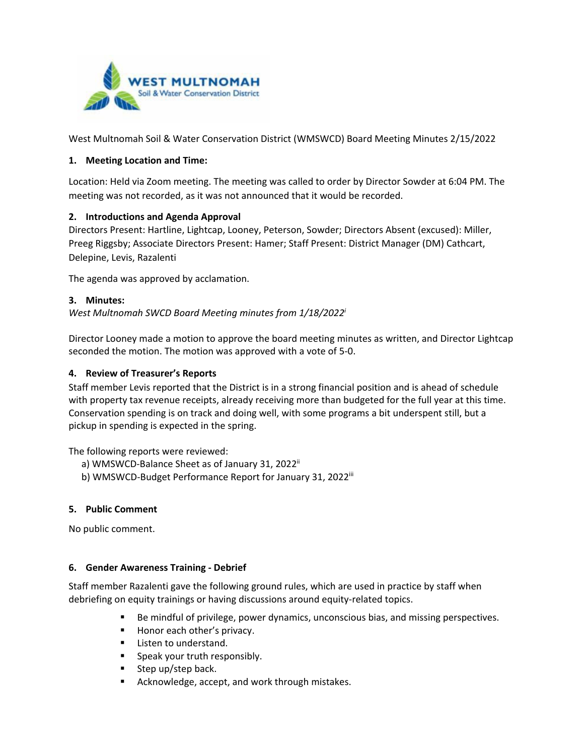

West Multnomah Soil & Water Conservation District (WMSWCD) Board Meeting Minutes 2/15/2022

#### **1. Meeting Location and Time:**

Location: Held via Zoom meeting. The meeting was called to order by Director Sowder at 6:04 PM. The meeting was not recorded, as it was not announced that it would be recorded.

#### **2. Introductions and Agenda Approval**

Directors Present: Hartline, Lightcap, Looney, Peterson, Sowder; Directors Absent (excused): Miller, Preeg Riggsby; Associate Directors Present: Hamer; Staff Present: District Manager (DM) Cathcart, Delepine, Levis, Razalenti

The agenda was approved by acclamation.

#### **3. Minutes:**

*West Multnomah SWCD Board Meeting minutes from 1/18/2022i*

Director Looney made a motion to approve the board meeting minutes as written, and Director Lightcap seconded the motion. The motion was approved with a vote of 5-0.

#### **4. Review of Treasurer's Reports**

Staff member Levis reported that the District is in a strong financial position and is ahead of schedule with property tax revenue receipts, already receiving more than budgeted for the full year at this time. Conservation spending is on track and doing well, with some programs a bit underspent still, but a pickup in spending is expected in the spring.

The following reports were reviewed:

- a) WMSWCD-Balance Sheet as of January 31, 2022<sup>ii</sup>
- b) WMSWCD-Budget Performance Report for January 31, 2022<sup>iii</sup>

#### **5. Public Comment**

No public comment.

#### **6. Gender Awareness Training - Debrief**

Staff member Razalenti gave the following ground rules, which are used in practice by staff when debriefing on equity trainings or having discussions around equity-related topics.

- **Be mindful of privilege, power dynamics, unconscious bias, and missing perspectives.**
- Honor each other's privacy.
- **Listen to understand.**
- **Speak your truth responsibly.**
- $\blacksquare$  Step up/step back.
- **EXEDENGE Acknowledge, accept, and work through mistakes.**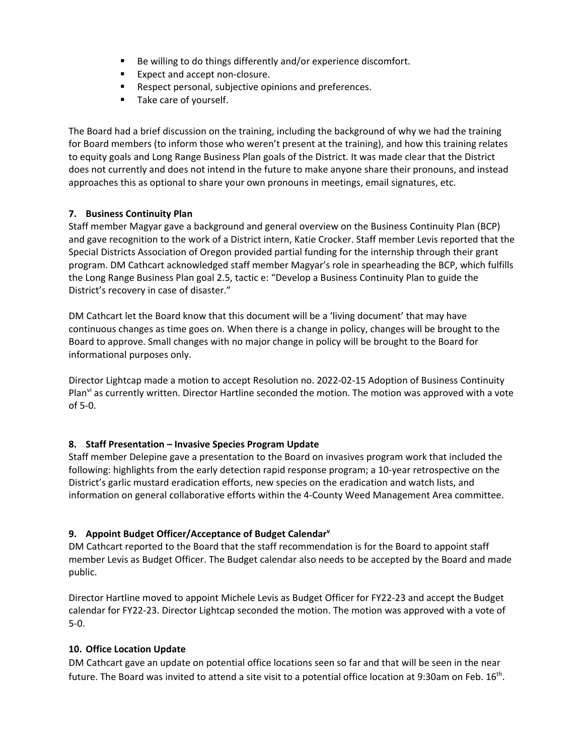- Be willing to do things differently and/or experience discomfort.
- **Expect and accept non-closure.**
- **Respect personal, subjective opinions and preferences.**
- **Take care of yourself.**

The Board had a brief discussion on the training, including the background of why we had the training for Board members (to inform those who weren't present at the training), and how this training relates to equity goals and Long Range Business Plan goals of the District. It was made clear that the District does not currently and does not intend in the future to make anyone share their pronouns, and instead approaches this as optional to share your own pronouns in meetings, email signatures, etc.

#### **7. Business Continuity Plan**

Staff member Magyar gave a background and general overview on the Business Continuity Plan (BCP) and gave recognition to the work of a District intern, Katie Crocker. Staff member Levis reported that the Special Districts Association of Oregon provided partial funding for the internship through their grant program. DM Cathcart acknowledged staff member Magyar's role in spearheading the BCP, which fulfills the Long Range Business Plan goal 2.5, tactic e: "Develop a Business Continuity Plan to guide the District's recovery in case of disaster."

DM Cathcart let the Board know that this document will be a 'living document' that may have continuous changes as time goes on. When there is a change in policy, changes will be brought to the Board to approve. Small changes with no major change in policy will be brought to the Board for informational purposes only.

Director Lightcap made a motion to accept Resolution no. 2022-02-15 Adoption of Business Continuity Plan<sup>vi</sup> as currently written. Director Hartline seconded the motion. The motion was approved with a vote of 5-0.

#### **8. Staff Presentation – Invasive Species Program Update**

Staff member Delepine gave a presentation to the Board on invasives program work that included the following: highlights from the early detection rapid response program; a 10-year retrospective on the District's garlic mustard eradication efforts, new species on the eradication and watch lists, and information on general collaborative efforts within the 4-County Weed Management Area committee.

#### **9. Appoint Budget Officer/Acceptance of Budget Calendarv**

DM Cathcart reported to the Board that the staff recommendation is for the Board to appoint staff member Levis as Budget Officer. The Budget calendar also needs to be accepted by the Board and made public.

Director Hartline moved to appoint Michele Levis as Budget Officer for FY22-23 and accept the Budget calendar for FY22-23. Director Lightcap seconded the motion. The motion was approved with a vote of 5-0.

#### **10. Office Location Update**

DM Cathcart gave an update on potential office locations seen so far and that will be seen in the near future. The Board was invited to attend a site visit to a potential office location at 9:30am on Feb. 16th.